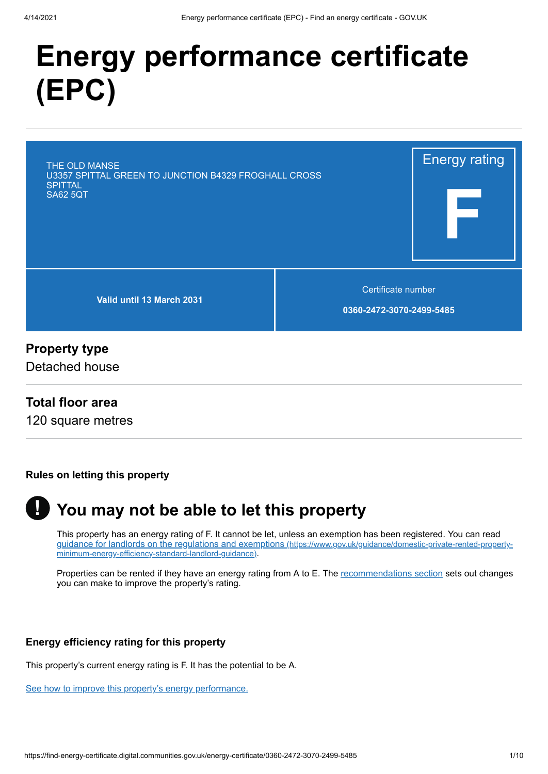# **Energy performance certificate (EPC)**

| THE OLD MANSE<br>U3357 SPITTAL GREEN TO JUNCTION B4329 FROGHALL CROSS<br><b>SPITTAL</b><br><b>SA62 5QT</b> |                                                | <b>Energy rating</b> |
|------------------------------------------------------------------------------------------------------------|------------------------------------------------|----------------------|
| Valid until 13 March 2031                                                                                  | Certificate number<br>0360-2472-3070-2499-5485 |                      |
| <b>Property type</b>                                                                                       |                                                |                      |

### **Property type**

Detached house

### **Total floor area**

120 square metres

#### **Rules on letting this property**



# **You may not be able to let this property**

This property has an energy rating of F. It cannot be let, unless an exemption has been registered. You can read [guidance for landlords on the regulations and exemptions](https://www.gov.uk/guidance/domestic-private-rented-property-minimum-energy-efficiency-standard-landlord-guidance) (https://www.gov.uk/guidance/domestic-private-rented-propertyminimum-energy-efficiency-standard-landlord-guidance).

Properties can be rented if they have an energy rating from A to E. The [recommendations section](#page-3-0) sets out changes you can make to improve the property's rating.

### **Energy efficiency rating for this property**

This property's current energy rating is F. It has the potential to be A.

[See how to improve this property's energy performance.](#page-3-0)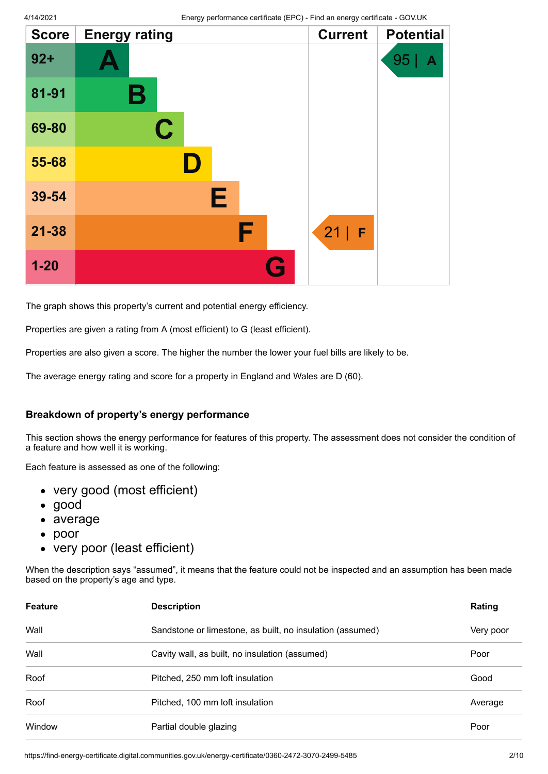| <b>Score</b> | <b>Energy rating</b> |   | <b>Current</b> | <b>Potential</b> |
|--------------|----------------------|---|----------------|------------------|
| $92 +$       |                      |   |                | 95<br>Α          |
| 81-91        | Β                    |   |                |                  |
| 69-80        | $\mathbf C$          |   |                |                  |
| 55-68        |                      |   |                |                  |
| 39-54        | Е                    |   |                |                  |
| $21 - 38$    |                      | F | 21 <br>F       |                  |
| $1 - 20$     |                      | G |                |                  |

The graph shows this property's current and potential energy efficiency.

Properties are given a rating from A (most efficient) to G (least efficient).

Properties are also given a score. The higher the number the lower your fuel bills are likely to be.

The average energy rating and score for a property in England and Wales are D (60).

#### **Breakdown of property's energy performance**

This section shows the energy performance for features of this property. The assessment does not consider the condition of a feature and how well it is working.

Each feature is assessed as one of the following:

- very good (most efficient)
- good
- average
- $\bullet$ poor
- very poor (least efficient)

When the description says "assumed", it means that the feature could not be inspected and an assumption has been made based on the property's age and type.

| <b>Feature</b> | <b>Description</b>                                        | Rating    |
|----------------|-----------------------------------------------------------|-----------|
| Wall           | Sandstone or limestone, as built, no insulation (assumed) | Very poor |
| Wall           | Cavity wall, as built, no insulation (assumed)            | Poor      |
| Roof           | Pitched, 250 mm loft insulation                           | Good      |
| Roof           | Pitched, 100 mm loft insulation                           | Average   |
| Window         | Partial double glazing                                    | Poor      |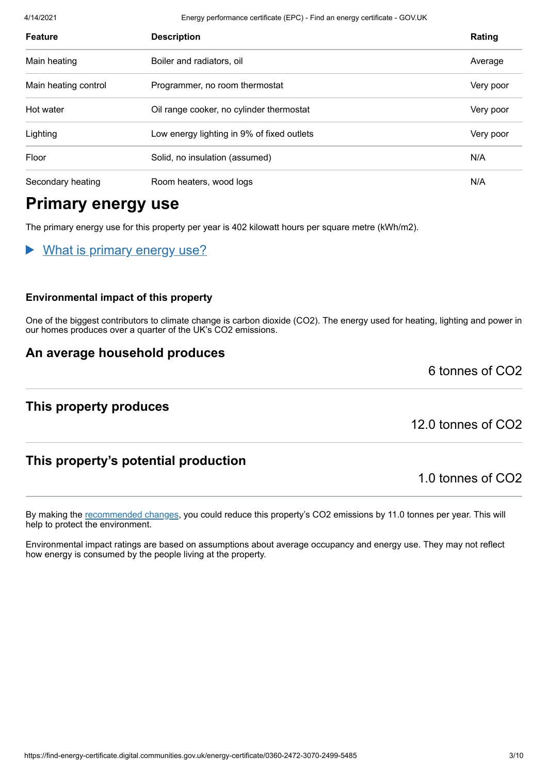4/14/2021 Energy performance certificate (EPC) - Find an energy certificate - GOV.UK

| <b>Feature</b>       | <b>Description</b>                         | Rating    |
|----------------------|--------------------------------------------|-----------|
| Main heating         | Boiler and radiators, oil                  | Average   |
| Main heating control | Programmer, no room thermostat             | Very poor |
| Hot water            | Oil range cooker, no cylinder thermostat   | Very poor |
| Lighting             | Low energy lighting in 9% of fixed outlets | Very poor |
| Floor                | Solid, no insulation (assumed)             | N/A       |
| Secondary heating    | Room heaters, wood logs                    | N/A       |

# **Primary energy use**

The primary energy use for this property per year is 402 kilowatt hours per square metre (kWh/m2).

What is primary energy use?

#### **Environmental impact of this property**

One of the biggest contributors to climate change is carbon dioxide (CO2). The energy used for heating, lighting and power in our homes produces over a quarter of the UK's CO2 emissions.

### **An average household produces**

**This property produces**

12.0 tonnes of CO2

6 tonnes of CO2

### **This property's potential production**

1.0 tonnes of CO2

By making the [recommended changes](#page-3-0), you could reduce this property's CO2 emissions by 11.0 tonnes per year. This will help to protect the environment.

Environmental impact ratings are based on assumptions about average occupancy and energy use. They may not reflect how energy is consumed by the people living at the property.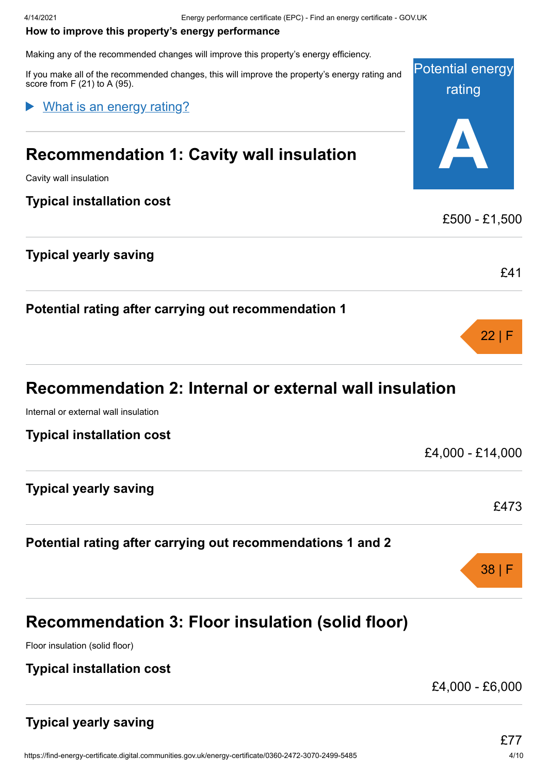#### <span id="page-3-0"></span>**How to improve this property's energy performance**

Making any of the recommended changes will improve this property's energy efficiency.

Potential energy If you make all of the recommended changes, this will improve the property's energy rating and score from F (21) to A (95).

#### What is an energy rating?

# **Recommendation 1: Cavity wall insulation**

Cavity wall insulation

### **Typical installation cost**

|  |  | Typical yearly saving |
|--|--|-----------------------|
|--|--|-----------------------|

|  |  | Potential rating after carrying out recommendation 1 |  |
|--|--|------------------------------------------------------|--|
|  |  |                                                      |  |

# **Recommendation 2: Internal or external wall insulation**

Internal or external wall insulation

| <b>Typical installation cost</b> |  |
|----------------------------------|--|
|                                  |  |

| <b>Typical yearly saving</b> |      |
|------------------------------|------|
|                              | £473 |

### **Potential rating after carrying out recommendations 1 and 2**

# **Recommendation 3: Floor insulation (solid floor)**

Floor insulation (solid floor)

### **Typical installation cost**

£4,000 - £6,000

38 | F

rating

**A**

£500 - £1,500

£41

22 | F

£4,000 - £14,000

### **Typical yearly saving**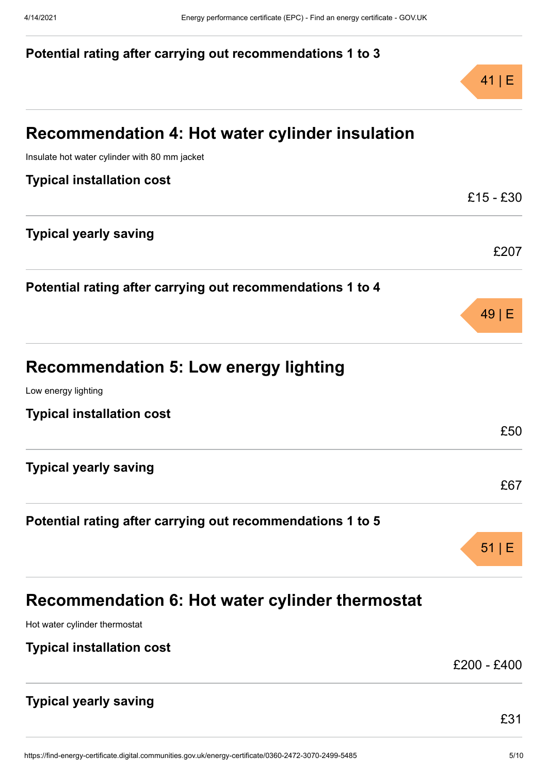|                                                            | $41 \mid E$ |
|------------------------------------------------------------|-------------|
| Recommendation 4: Hot water cylinder insulation            |             |
| Insulate hot water cylinder with 80 mm jacket              |             |
| <b>Typical installation cost</b>                           |             |
|                                                            | $£15 - £30$ |
| <b>Typical yearly saving</b>                               | £207        |
| Potential rating after carrying out recommendations 1 to 4 |             |
|                                                            | 49 E        |
| <b>Recommendation 5: Low energy lighting</b>               |             |
| Low energy lighting                                        |             |
| <b>Typical installation cost</b>                           |             |
|                                                            | £50         |
| <b>Typical yearly saving</b>                               |             |
|                                                            | £67         |
| Potential rating after carrying out recommendations 1 to 5 |             |
|                                                            | $51 \mid E$ |
| Recommendation 6: Hot water cylinder thermostat            |             |
| Hot water cylinder thermostat                              |             |
| <b>Typical installation cost</b>                           |             |
|                                                            | £200 - £400 |
| <b>Typical yearly saving</b>                               |             |
|                                                            | £31         |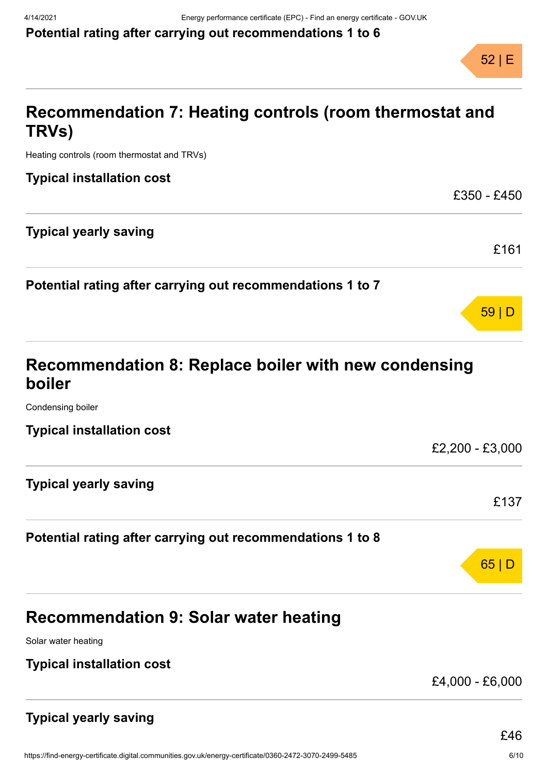

59 | D

# **Recommendation 7: Heating controls (room thermostat and TRVs)**

Heating controls (room thermostat and TRVs)

| <b>Typical installation cost</b>                           |             |
|------------------------------------------------------------|-------------|
|                                                            | £350 - £450 |
| <b>Typical yearly saving</b>                               |             |
|                                                            | £161        |
| Potential rating after carrying out recommendations 1 to 7 |             |

# **Recommendation 8: Replace boiler with new condensing boiler**

Condensing boiler

| <b>Typical installation cost</b> |                 |
|----------------------------------|-----------------|
|                                  | £2,200 - £3,000 |
| Typical yearly saving            |                 |
|                                  | £137            |
|                                  |                 |

### **Potential rating after carrying out recommendations 1 to 8**

| n5 - | L |
|------|---|
|      |   |

# **Recommendation 9: Solar water heating**

Solar water heating

### **Typical installation cost**

£4,000 - £6,000

### **Typical yearly saving**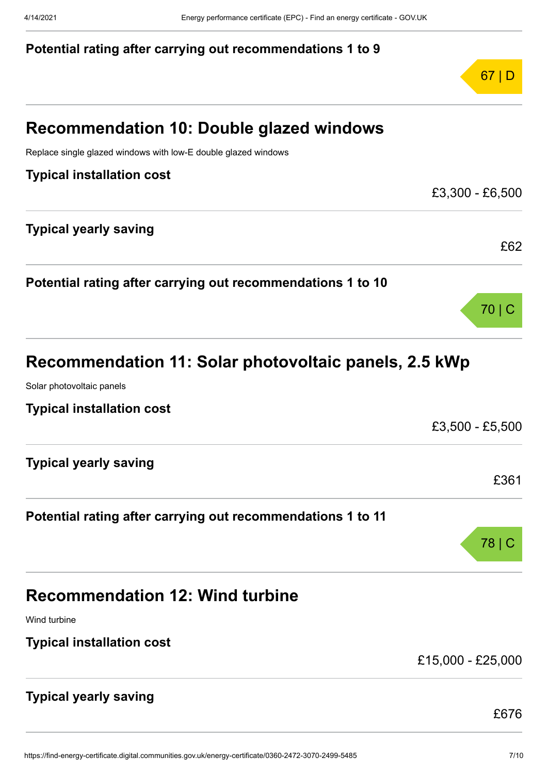|                                                                | 67 D              |
|----------------------------------------------------------------|-------------------|
| <b>Recommendation 10: Double glazed windows</b>                |                   |
| Replace single glazed windows with low-E double glazed windows |                   |
| <b>Typical installation cost</b>                               |                   |
|                                                                | £3,300 - £6,500   |
| <b>Typical yearly saving</b>                                   |                   |
|                                                                | £62               |
| Potential rating after carrying out recommendations 1 to 10    |                   |
|                                                                | 70 C              |
| Recommendation 11: Solar photovoltaic panels, 2.5 kWp          |                   |
| Solar photovoltaic panels                                      |                   |
| <b>Typical installation cost</b>                               |                   |
|                                                                | £3,500 - £5,500   |
| <b>Typical yearly saving</b>                                   |                   |
|                                                                | £361              |
| Potential rating after carrying out recommendations 1 to 11    |                   |
|                                                                | 78   C            |
| <b>Recommendation 12: Wind turbine</b>                         |                   |
| Wind turbine                                                   |                   |
| <b>Typical installation cost</b>                               |                   |
|                                                                | £15,000 - £25,000 |
| <b>Typical yearly saving</b>                                   |                   |
|                                                                | £676              |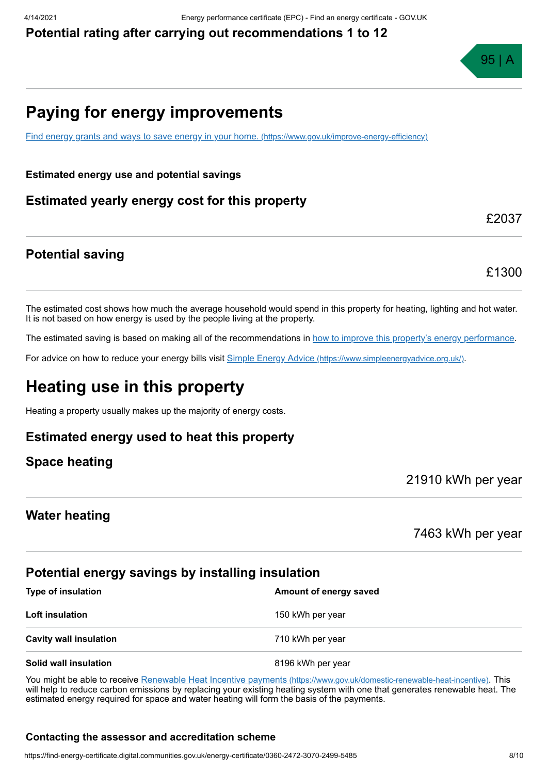

# **Paying for energy improvements**

[Find energy grants and ways to save energy in your home.](https://www.gov.uk/improve-energy-efficiency) (https://www.gov.uk/improve-energy-efficiency)

**Estimated energy use and potential savings**

**Estimated yearly energy cost for this property**

**Potential saving**

£2037

£1300

The estimated cost shows how much the average household would spend in this property for heating, lighting and hot water. It is not based on how energy is used by the people living at the property.

The estimated saving is based on making all of the recommendations in [how to improve this property's energy performance.](#page-3-0)

For advice on how to reduce your energy bills visit Simple Energy Advice [\(https://www.simpleenergyadvice.org.uk/\)](https://www.simpleenergyadvice.org.uk/).

# **Heating use in this property**

Heating a property usually makes up the majority of energy costs.

### **Estimated energy used to heat this property**

**Space heating**

21910 kWh per year

#### **Water heating**

7463 kWh per year

### **Potential energy savings by installing insulation**

| <b>Type of insulation</b>     | Amount of energy saved |  |
|-------------------------------|------------------------|--|
| <b>Loft insulation</b>        | 150 kWh per year       |  |
| <b>Cavity wall insulation</b> | 710 kWh per year       |  |
| Solid wall insulation         | 8196 kWh per year      |  |

You might be able to receive Renewable Heat Incentive payments [\(https://www.gov.uk/domestic-renewable-heat-incentive\)](https://www.gov.uk/domestic-renewable-heat-incentive). This will help to reduce carbon emissions by replacing your existing heating system with one that generates renewable heat. The estimated energy required for space and water heating will form the basis of the payments.

#### **Contacting the assessor and accreditation scheme**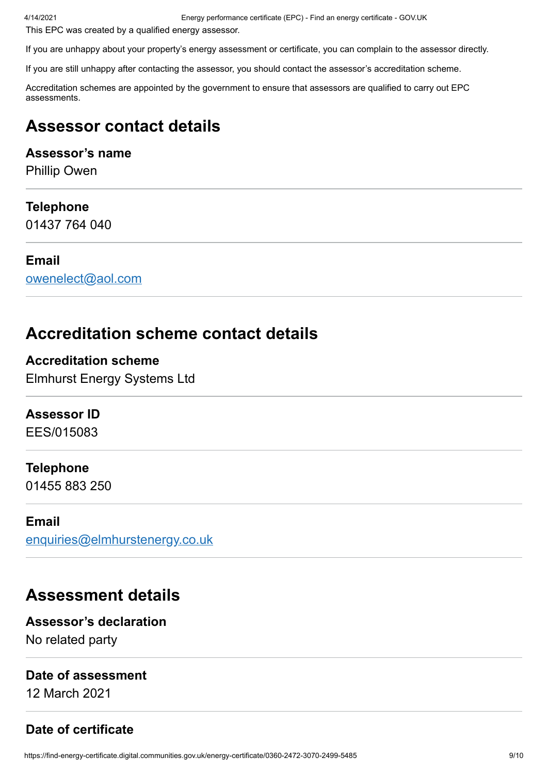4/14/2021 Energy performance certificate (EPC) - Find an energy certificate - GOV.UK

This EPC was created by a qualified energy assessor.

If you are unhappy about your property's energy assessment or certificate, you can complain to the assessor directly.

If you are still unhappy after contacting the assessor, you should contact the assessor's accreditation scheme.

Accreditation schemes are appointed by the government to ensure that assessors are qualified to carry out EPC assessments.

# **Assessor contact details**

### **Assessor's name**

Phillip Owen

### **Telephone**

01437 764 040

### **Email**

[owenelect@aol.com](mailto:owenelect@aol.com)

# **Accreditation scheme contact details**

**Accreditation scheme** Elmhurst Energy Systems Ltd

### **Assessor ID**

EES/015083

### **Telephone**

01455 883 250

### **Email**

[enquiries@elmhurstenergy.co.uk](mailto:enquiries@elmhurstenergy.co.uk)

### **Assessment details**

### **Assessor's declaration**

No related party

### **Date of assessment**

12 March 2021

### **Date of certificate**